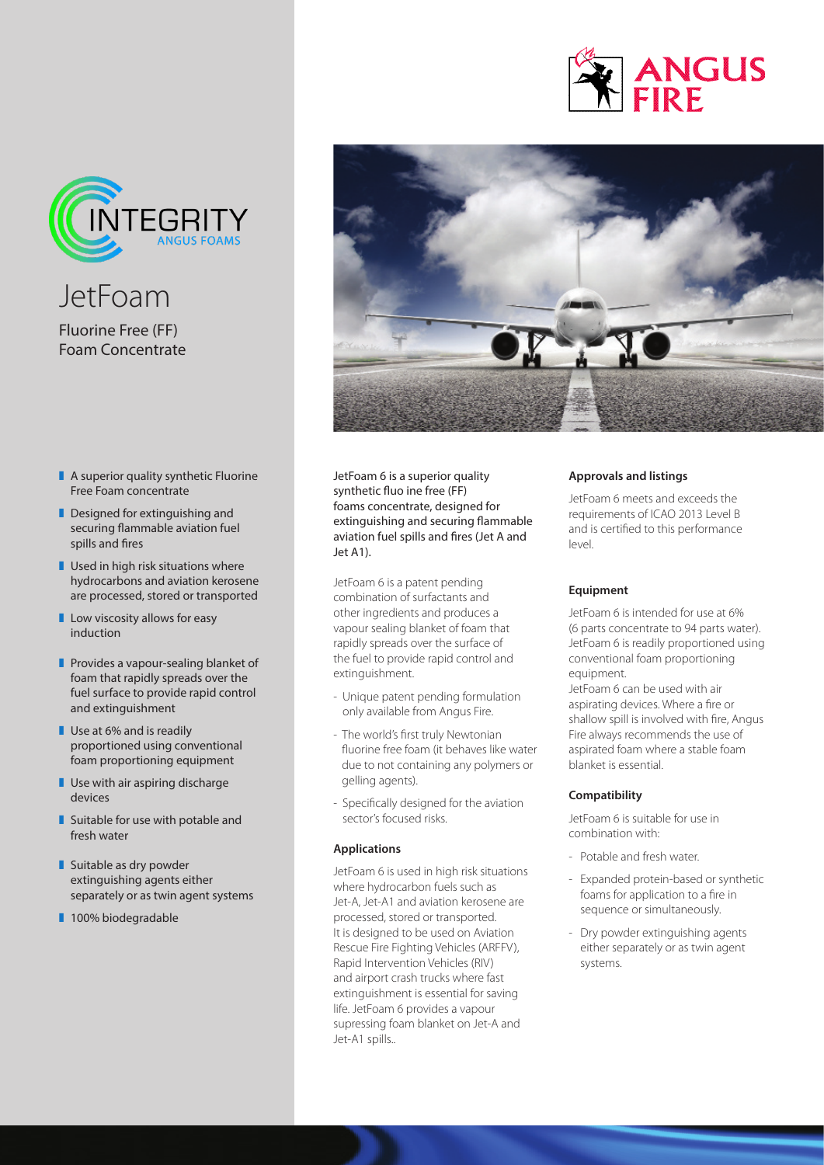



JetFoam Fluorine Free (FF) Foam Concentrate

- $\blacksquare$  A superior quality synthetic Fluorine Free Foam concentrate
- $\blacksquare$  Designed for extinguishing and securing flammable aviation fuel spills and fires
- $\blacksquare$  Used in high risk situations where hydrocarbons and aviation kerosene are processed, stored or transported
- $\blacksquare$  Low viscosity allows for easy induction
- $\blacksquare$  Provides a vapour-sealing blanket of foam that rapidly spreads over the fuel surface to provide rapid control and extinguishment
- $\blacksquare$  Use at 6% and is readily proportioned using conventional foam proportioning equipment
- $\blacksquare$  Use with air aspiring discharge devices
- $\blacksquare$  Suitable for use with potable and fresh water
- $\blacksquare$  Suitable as dry powder extinguishing agents either separately or as twin agent systems
- 100% biodegradable



JetFoam 6 is a superior quality synthetic fluo ine free (FF) foams concentrate, designed for extinguishing and securing flammable aviation fuel spills and fires (Jet A and Jet A1).

JetFoam 6 is a patent pending combination of surfactants and other ingredients and produces a vapour sealing blanket of foam that rapidly spreads over the surface of the fuel to provide rapid control and extinguishment.

- Unique patent pending formulation only available from Angus Fire.
- The world's first truly Newtonian fluorine free foam (it behaves like water due to not containing any polymers or gelling agents).
- Specifically designed for the aviation sector's focused risks.

#### **Applications**

JetFoam 6 is used in high risk situations where hydrocarbon fuels such as Jet-A, Jet-A1 and aviation kerosene are processed, stored or transported. It is designed to be used on Aviation Rescue Fire Fighting Vehicles (ARFFV), Rapid Intervention Vehicles (RIV) and airport crash trucks where fast extinguishment is essential for saving life. JetFoam 6 provides a vapour supressing foam blanket on Jet-A and Jet-A1 spills..

## **Approvals and listings**

JetFoam 6 meets and exceeds the requirements of ICAO 2013 Level B and is certified to this performance level.

## **Equipment**

JetFoam 6 is intended for use at 6% (6 parts concentrate to 94 parts water). JetFoam 6 is readily proportioned using conventional foam proportioning equipment.

JetFoam 6 can be used with air aspirating devices. Where a fire or shallow spill is involved with fire, Angus Fire always recommends the use of aspirated foam where a stable foam blanket is essential.

## **Compatibility**

JetFoam 6 is suitable for use in combination with:

- Potable and fresh water.
- Expanded protein-based or synthetic foams for application to a fire in sequence or simultaneously.
- Dry powder extinguishing agents either separately or as twin agent systems.